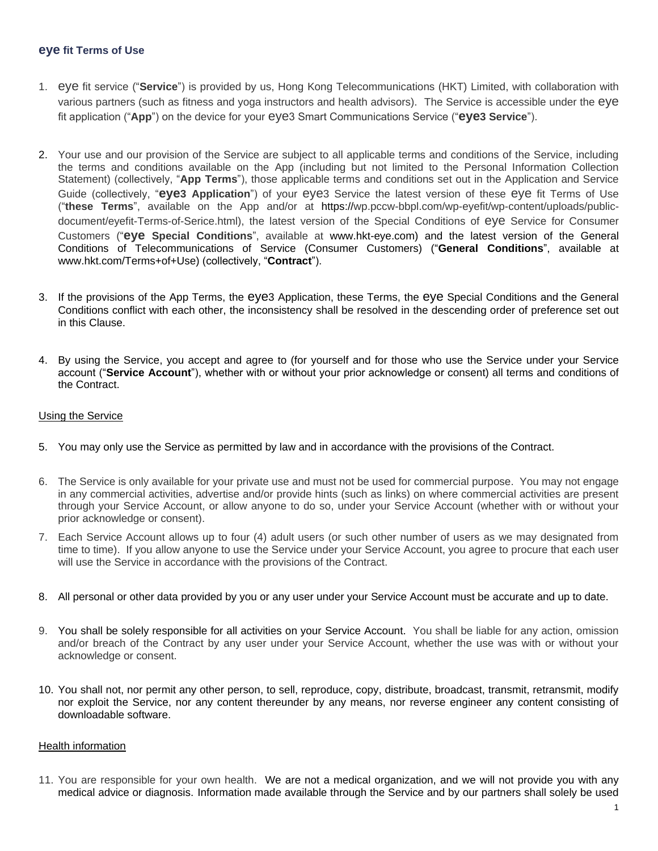## **eye fit Terms of Use**

- 1. eye fit service ("**Service**") is provided by us, Hong Kong Telecommunications (HKT) Limited, with collaboration with various partners (such as fitness and yoga instructors and health advisors). The Service is accessible under the eye fit application ("**App**") on the device for your eye3 Smart Communications Service ("**eye3 Service**").
- 2. Your use and our provision of the Service are subject to all applicable terms and conditions of the Service, including the terms and conditions available on the App (including but not limited to the Personal Information Collection Statement) (collectively, "**App Terms**"), those applicable terms and conditions set out in the Application and Service Guide (collectively, "**eye3 Application**") of your eye3 Service the latest version of these eye fit Terms of Use ("**these Terms**", available on the App and/or at https://wp.pccw-bbpl.com/wp-eyefit/wp-content/uploads/publicdocument/eyefit-Terms-of-Serice.html), the latest version of the Special Conditions of eye Service for Consumer Customers ("**eye Special Conditions**", available at www.hkt-eye.com) and the latest version of the General Conditions of Telecommunications of Service (Consumer Customers) ("**General Conditions**", available at www.hkt.com/Terms+of+Use) (collectively, "**Contract**").
- 3. If the provisions of the App Terms, the eye3 Application, these Terms, the eye Special Conditions and the General Conditions conflict with each other, the inconsistency shall be resolved in the descending order of preference set out in this Clause.
- 4. By using the Service, you accept and agree to (for yourself and for those who use the Service under your Service account ("**Service Account**"), whether with or without your prior acknowledge or consent) all terms and conditions of the Contract.

## Using the Service

- 5. You may only use the Service as permitted by law and in accordance with the provisions of the Contract.
- 6. The Service is only available for your private use and must not be used for commercial purpose. You may not engage in any commercial activities, advertise and/or provide hints (such as links) on where commercial activities are present through your Service Account, or allow anyone to do so, under your Service Account (whether with or without your prior acknowledge or consent).
- 7. Each Service Account allows up to four (4) adult users (or such other number of users as we may designated from time to time). If you allow anyone to use the Service under your Service Account, you agree to procure that each user will use the Service in accordance with the provisions of the Contract.
- 8. All personal or other data provided by you or any user under your Service Account must be accurate and up to date.
- 9. You shall be solely responsible for all activities on your Service Account. You shall be liable for any action, omission and/or breach of the Contract by any user under your Service Account, whether the use was with or without your acknowledge or consent.
- 10. You shall not, nor permit any other person, to sell, reproduce, copy, distribute, broadcast, transmit, retransmit, modify nor exploit the Service, nor any content thereunder by any means, nor reverse engineer any content consisting of downloadable software.

## Health information

11. You are responsible for your own health. We are not a medical organization, and we will not provide you with any medical advice or diagnosis. Information made available through the Service and by our partners shall solely be used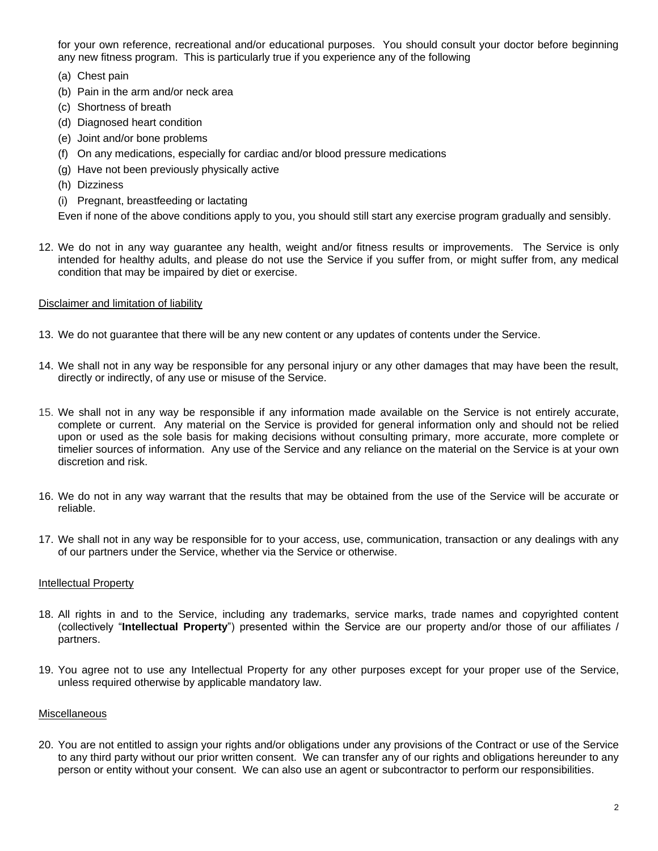for your own reference, recreational and/or educational purposes. You should consult your doctor before beginning any new fitness program. This is particularly true if you experience any of the following

- (a) Chest pain
- (b) Pain in the arm and/or neck area
- (c) Shortness of breath
- (d) Diagnosed heart condition
- (e) Joint and/or bone problems
- (f) On any medications, especially for cardiac and/or blood pressure medications
- (g) Have not been previously physically active
- (h) Dizziness
- (i) Pregnant, breastfeeding or lactating

Even if none of the above conditions apply to you, you should still start any exercise program gradually and sensibly.

12. We do not in any way guarantee any health, weight and/or fitness results or improvements. The Service is only intended for healthy adults, and please do not use the Service if you suffer from, or might suffer from, any medical condition that may be impaired by diet or exercise.

## Disclaimer and limitation of liability

- 13. We do not guarantee that there will be any new content or any updates of contents under the Service.
- 14. We shall not in any way be responsible for any personal injury or any other damages that may have been the result, directly or indirectly, of any use or misuse of the Service.
- 15. We shall not in any way be responsible if any information made available on the Service is not entirely accurate, complete or current. Any material on the Service is provided for general information only and should not be relied upon or used as the sole basis for making decisions without consulting primary, more accurate, more complete or timelier sources of information. Any use of the Service and any reliance on the material on the Service is at your own discretion and risk.
- 16. We do not in any way warrant that the results that may be obtained from the use of the Service will be accurate or reliable.
- 17. We shall not in any way be responsible for to your access, use, communication, transaction or any dealings with any of our partners under the Service, whether via the Service or otherwise.

## Intellectual Property

- 18. All rights in and to the Service, including any trademarks, service marks, trade names and copyrighted content (collectively "**Intellectual Property**") presented within the Service are our property and/or those of our affiliates / partners.
- 19. You agree not to use any Intellectual Property for any other purposes except for your proper use of the Service, unless required otherwise by applicable mandatory law.

## Miscellaneous

20. You are not entitled to assign your rights and/or obligations under any provisions of the Contract or use of the Service to any third party without our prior written consent. We can transfer any of our rights and obligations hereunder to any person or entity without your consent. We can also use an agent or subcontractor to perform our responsibilities.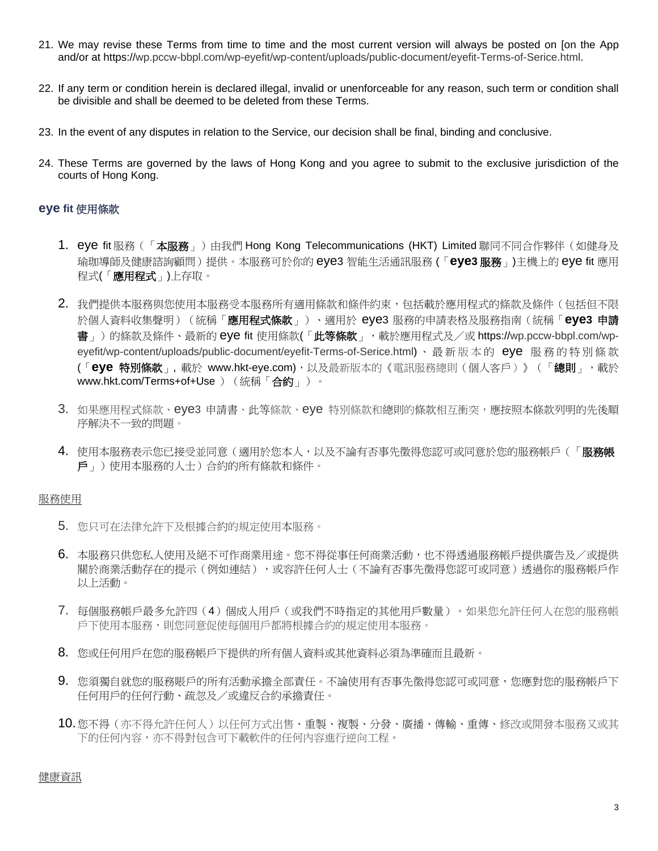- 21. We may revise these Terms from time to time and the most current version will always be posted on [on the App and/or at https://wp.pccw-bbpl.com/wp-eyefit/wp-content/uploads/public-document/eyefit-Terms-of-Serice.html.
- 22. If any term or condition herein is declared illegal, invalid or unenforceable for any reason, such term or condition shall be divisible and shall be deemed to be deleted from these Terms.
- 23. In the event of any disputes in relation to the Service, our decision shall be final, binding and conclusive.
- 24. These Terms are governed by the laws of Hong Kong and you agree to submit to the exclusive jurisdiction of the courts of Hong Kong.

# **eye fit** 使用條款

- 1. eye fit 服務(「本服務」)由我們 Hong Kong Telecommunications (HKT) Limited 聯同不同合作夥伴(如健身及 瑜珈導師及健康諮詢顧問)提供。本服務可於你的 eye3 智能生活通訊服務 (「**eye3** 服務」)主機上的 eye fit 應用 程式(「應用程式」)上存取。
- 2. 我們提供本服務與您使用本服務受本服務所有適用條款和條件約束,包括載於應用程式的條款及條件(包括但不限 於個人資料收集聲明)(統稱「應用程式條款」)、適用於 eye3 服務的申請表格及服務指南(統稱「**eye3** 申請 書」)的條款及條件、最新的 eye fit 使用條款(「此等條款」, 載於應用程式及/或 https://wp.pccw-bbpl.com/wpeyefit/wp-content/uploads/public-document/eyefit-Terms-of-Serice.html)、最新版本的 eye 服務的特別條款 (「**eye** 特別條款」, 載於 www.hkt-eye.com),以及最新版本的《電訊服務總則(個人客戶)》(「總則」,載於 www.hkt.com/Terms+of+Use ) (統稱「合約」)。
- 3. 如果應用程式條款、eye3 申請書、此等條款、eye 特別條款和總則的條款相互衝突,應按照本條款列明的先後順 序解決不一致的問題。
- 4. 使用本服務表示您已接受並同意(適用於您本人,以及不論有否事先徵得您認可或同意於您的服務帳戶(「**服務帳** 戶」)使用本服務的人士)合約的所有條款和條件。

## 服務使用

- 5. 您只可在法律允許下及根據合約的規定使用本服務。
- 6. 本服務只供您私人使用及絕不可作商業用途。您不得從事任何商業活動,也不得透過服務帳戶提供廣告及/或提供 關於商業活動存在的提示(例如連結),或容許任何人士(不論有否事先徵得您認可或同意)透過你的服務帳戶作 以上活動。
- 7. 每個服務帳戶最多允許四(4)個成人用戶(或我們不時指定的其他用戶數量)。如果您允許任何人在您的服務帳 戶下使用本服務,則您同意促使每個用戶都將根據合約的規定使用本服務。
- 8. 您或任何用戶在您的服務帳戶下提供的所有個人資料或其他資料必須為準確而且最新。
- 9. 您須獨自就您的服務賬戶的所有活動承擔全部責任。不論使用有否事先徵得您認可或同意,您應對您的服務帳戶下 任何用戶的任何行動、疏忽及/或違反合約承擔責任。
- 10.您不得(亦不得允許任何人)以任何方式出售、重製、複製、分發、廣播、傳輸、重傳、修改或開發本服務又或其 下的任何內容,亦不得對包含可下載軟件的任何內容進行逆向工程。

### 健康資訊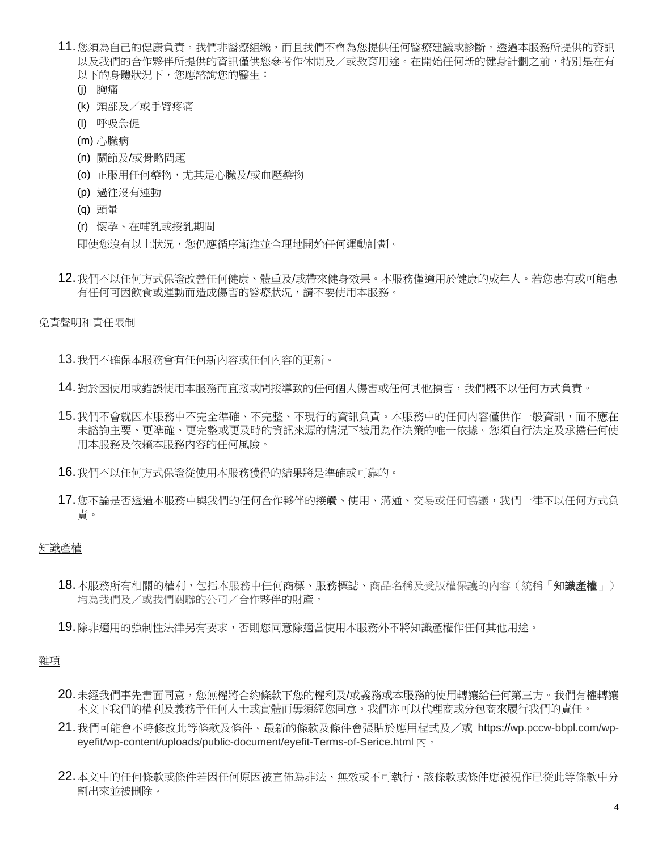- 11. 您須為自己的健康負責。我們非醫療組織,而且我們不會為您提供任何醫療建議或診斷。透過本服務所提供的資訊 以及我們的合作夥伴所提供的資訊僅供您參考作休閒及/或教育用途。在開始任何新的健身計劃之前,特別是在有 以下的身體狀況下,您應諮詢您的醫生:
	- (j) 胸痛
	- (k) 頸部及/或手臂疼痛
	- (l) 呼吸急促
	- (m) 心臟病
	- (n) 關節及/或骨骼問題
	- (o) 正服用任何藥物,尤其是心臟及/或血壓藥物
	- (p) 過往沒有運動
	- (q) 頭暈
	- (r) 懷孕、在哺乳或授乳期間

即使您沒有以上狀況,您仍應循序漸進並合理地開始任何運動計劃。

12.我們不以任何方式保證改善任何健康、體重及/或帶來健身效果。本服務僅適用於健康的成年人。若您患有或可能患 有任何可因飲食或運動而造成傷害的醫療狀況,請不要使用本服務。

### 免責聲明和責任限制

13.我們不確保本服務會有任何新內容或任何內容的更新。

- 14.對於因使用或錯誤使用本服務而直接或間接導致的任何個人傷害或任何其他損害,我們概不以任何方式負責。
- 15.我們不會就因本服務中不完全準確、不完整、不現行的資訊負責。本服務中的任何內容僅供作一般資訊,而不應在 未諮詢主要、更準確、更完整或更及時的資訊來源的情況下被用為作決策的唯一依據。您須自行決定及承擔任何使 用本服務及依賴本服務內容的任何風險。
- 16.我們不以任何方式保證從使用本服務獲得的結果將是準確或可靠的。
- 17.您不論是否透過本服務中與我們的任何合作夥伴的接觸、使用、溝通、交易或任何協議,我們一律不以任何方式負 責。

### 知識產權

- 18.本服務所有相關的權利,包括本服務中任何商標、服務標誌、商品名稱及受版權保護的內容(統稱「知識產權」) 均為我們及/或我們關聯的公司/合作夥伴的財產。
- 19.除非適用的強制性法律另有要求,否則您同意除適當使用本服務外不將知識產權作任何其他用途。

## 雜項

- 20.未經我們事先書面同意,您無權將合約條款下您的權利及/或義務或本服務的使用轉讓給任何第三方。我們有權轉讓 本文下我們的權利及義務予任何人士或實體而毋須經您同意。我們亦可以代理商或分包商來履行我們的責任。
- 21.我們可能會不時修改此等條款及條件。最新的條款及條件會張貼於應用程式及/或 https://wp.pccw-bbpl.com/wpeyefit/wp-content/uploads/public-document/eyefit-Terms-of-Serice.html 内。
- 22.本文中的任何條款或條件若因任何原因被宣佈為非法、無效或不可執行,該條款或條件應被視作已從此等條款中分 割出來並被刪除。